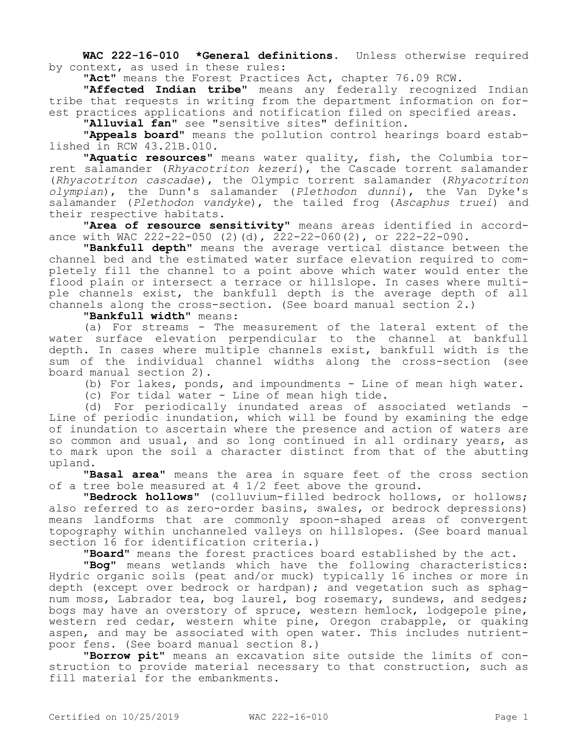**WAC 222-16-010 \*General definitions.** Unless otherwise required by context, as used in these rules:

**"Act"** means the Forest Practices Act, chapter 76.09 RCW.

**"Affected Indian tribe"** means any federally recognized Indian tribe that requests in writing from the department information on forest practices applications and notification filed on specified areas.

**"Alluvial fan"** see "sensitive sites" definition.

**"Appeals board"** means the pollution control hearings board established in RCW 43.21B.010.

**"Aquatic resources"** means water quality, fish, the Columbia torrent salamander (*Rhyacotriton kezeri*), the Cascade torrent salamander (*Rhyacotriton cascadae*), the Olympic torrent salamander (*Rhyacotriton olympian*), the Dunn's salamander (*Plethodon dunni*), the Van Dyke's salamander (*Plethodon vandyke*), the tailed frog (*Ascaphus truei*) and their respective habitats.

**"Area of resource sensitivity"** means areas identified in accordance with WAC 222-22-050 (2)(d), 222-22-060(2), or 222-22-090.

**"Bankfull depth"** means the average vertical distance between the channel bed and the estimated water surface elevation required to completely fill the channel to a point above which water would enter the flood plain or intersect a terrace or hillslope. In cases where multiple channels exist, the bankfull depth is the average depth of all channels along the cross-section. (See board manual section 2.)

# **"Bankfull width"** means:

(a) For streams - The measurement of the lateral extent of the water surface elevation perpendicular to the channel at bankfull depth. In cases where multiple channels exist, bankfull width is the sum of the individual channel widths along the cross-section (see board manual section 2).

(b) For lakes, ponds, and impoundments - Line of mean high water.

(c) For tidal water - Line of mean high tide.

(d) For periodically inundated areas of associated wetlands - Line of periodic inundation, which will be found by examining the edge of inundation to ascertain where the presence and action of waters are so common and usual, and so long continued in all ordinary years, as to mark upon the soil a character distinct from that of the abutting upland.

**"Basal area"** means the area in square feet of the cross section of a tree bole measured at  $4\frac{1}{2}$  feet above the ground.

**"Bedrock hollows"** (colluvium-filled bedrock hollows, or hollows; also referred to as zero-order basins, swales, or bedrock depressions) means landforms that are commonly spoon-shaped areas of convergent topography within unchanneled valleys on hillslopes. (See board manual section 16 for identification criteria.)

**"Board"** means the forest practices board established by the act.

**"Bog"** means wetlands which have the following characteristics: Hydric organic soils (peat and/or muck) typically 16 inches or more in depth (except over bedrock or hardpan); and vegetation such as sphagnum moss, Labrador tea, bog laurel, bog rosemary, sundews, and sedges; bogs may have an overstory of spruce, western hemlock, lodgepole pine, western red cedar, western white pine, Oregon crabapple, or quaking aspen, and may be associated with open water. This includes nutrientpoor fens. (See board manual section 8.)

**"Borrow pit"** means an excavation site outside the limits of construction to provide material necessary to that construction, such as fill material for the embankments.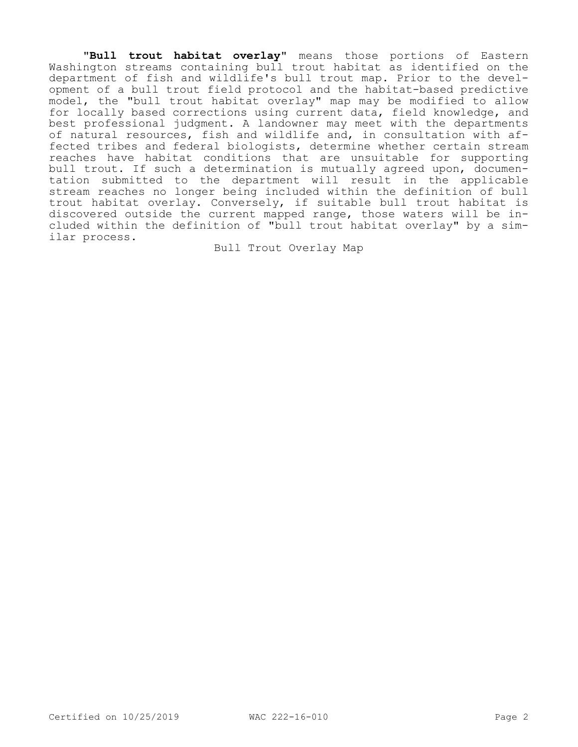**"Bull trout habitat overlay"** means those portions of Eastern Washington streams containing bull trout habitat as identified on the department of fish and wildlife's bull trout map. Prior to the development of a bull trout field protocol and the habitat-based predictive model, the "bull trout habitat overlay" map may be modified to allow for locally based corrections using current data, field knowledge, and best professional judgment. A landowner may meet with the departments of natural resources, fish and wildlife and, in consultation with affected tribes and federal biologists, determine whether certain stream reaches have habitat conditions that are unsuitable for supporting bull trout. If such a determination is mutually agreed upon, documentation submitted to the department will result in the applicable stream reaches no longer being included within the definition of bull trout habitat overlay. Conversely, if suitable bull trout habitat is discovered outside the current mapped range, those waters will be included within the definition of "bull trout habitat overlay" by a similar process.

Bull Trout Overlay Map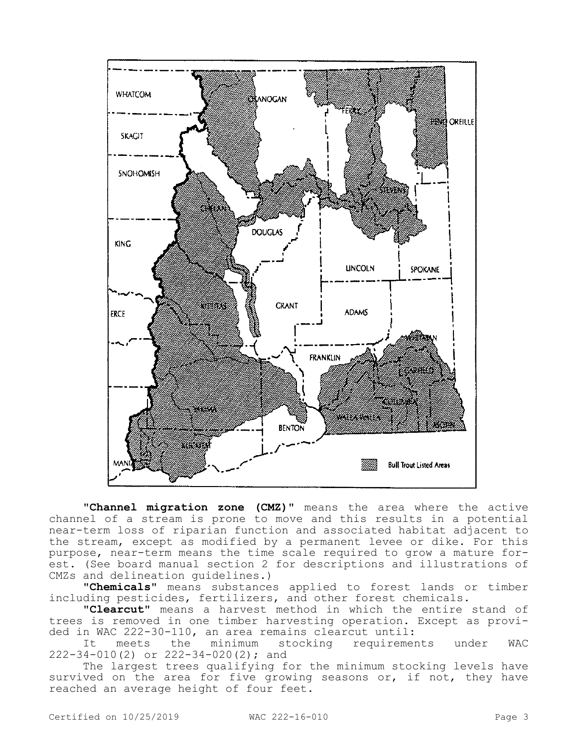

**"Channel migration zone (CMZ)"** means the area where the active channel of a stream is prone to move and this results in a potential near-term loss of riparian function and associated habitat adjacent to the stream, except as modified by a permanent levee or dike. For this purpose, near-term means the time scale required to grow a mature forest. (See board manual section 2 for descriptions and illustrations of CMZs and delineation guidelines.)

**"Chemicals"** means substances applied to forest lands or timber including pesticides, fertilizers, and other forest chemicals.

**"Clearcut"** means a harvest method in which the entire stand of trees is removed in one timber harvesting operation. Except as provided in WAC 222-30-110, an area remains clearcut until:<br>It meets the minimum stocking requireme

It meets the minimum stocking requirements under WAC 222-34-010(2) or 222-34-020(2); and

The largest trees qualifying for the minimum stocking levels have survived on the area for five growing seasons or, if not, they have reached an average height of four feet.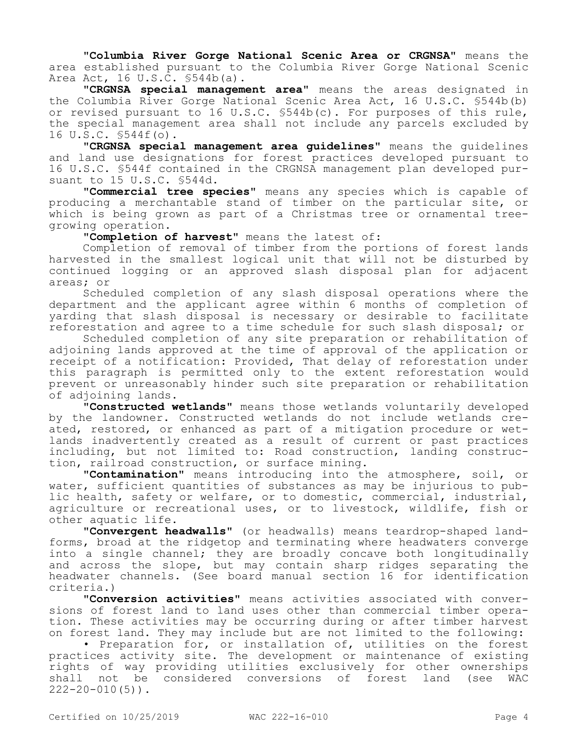**"Columbia River Gorge National Scenic Area or CRGNSA"** means the area established pursuant to the Columbia River Gorge National Scenic Area Act, 16 U.S.C. §544b(a).

**"CRGNSA special management area"** means the areas designated in the Columbia River Gorge National Scenic Area Act, 16 U.S.C. §544b(b) or revised pursuant to 16 U.S.C. §544b(c). For purposes of this rule, the special management area shall not include any parcels excluded by 16 U.S.C. §544f(o).

**"CRGNSA special management area guidelines"** means the guidelines and land use designations for forest practices developed pursuant to 16 U.S.C. §544f contained in the CRGNSA management plan developed pursuant to 15 U.S.C. §544d.

**"Commercial tree species"** means any species which is capable of producing a merchantable stand of timber on the particular site, or which is being grown as part of a Christmas tree or ornamental treegrowing operation.

**"Completion of harvest"** means the latest of:

Completion of removal of timber from the portions of forest lands harvested in the smallest logical unit that will not be disturbed by continued logging or an approved slash disposal plan for adjacent areas; or

Scheduled completion of any slash disposal operations where the department and the applicant agree within 6 months of completion of yarding that slash disposal is necessary or desirable to facilitate reforestation and agree to a time schedule for such slash disposal; or

Scheduled completion of any site preparation or rehabilitation of adjoining lands approved at the time of approval of the application or receipt of a notification: Provided, That delay of reforestation under this paragraph is permitted only to the extent reforestation would prevent or unreasonably hinder such site preparation or rehabilitation of adjoining lands.

**"Constructed wetlands"** means those wetlands voluntarily developed by the landowner. Constructed wetlands do not include wetlands created, restored, or enhanced as part of a mitigation procedure or wetlands inadvertently created as a result of current or past practices including, but not limited to: Road construction, landing construction, railroad construction, or surface mining.

**"Contamination"** means introducing into the atmosphere, soil, or water, sufficient quantities of substances as may be injurious to public health, safety or welfare, or to domestic, commercial, industrial, agriculture or recreational uses, or to livestock, wildlife, fish or other aquatic life.

**"Convergent headwalls"** (or headwalls) means teardrop-shaped landforms, broad at the ridgetop and terminating where headwaters converge into a single channel; they are broadly concave both longitudinally and across the slope, but may contain sharp ridges separating the headwater channels. (See board manual section 16 for identification criteria.)

**"Conversion activities"** means activities associated with conversions of forest land to land uses other than commercial timber operation. These activities may be occurring during or after timber harvest on forest land. They may include but are not limited to the following:

• Preparation for, or installation of, utilities on the forest practices activity site. The development or maintenance of existing rights of way providing utilities exclusively for other ownerships shall not be considered conversions of forest land (see WAC  $222 - 20 - 010(5)$ .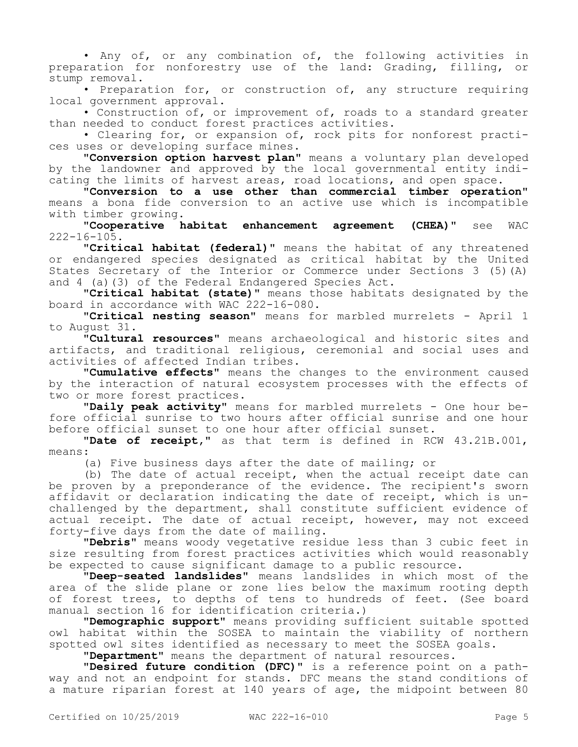• Any of, or any combination of, the following activities in preparation for nonforestry use of the land: Grading, filling, or stump removal.

• Preparation for, or construction of, any structure requiring local government approval.

• Construction of, or improvement of, roads to a standard greater than needed to conduct forest practices activities.

• Clearing for, or expansion of, rock pits for nonforest practices uses or developing surface mines.

**"Conversion option harvest plan"** means a voluntary plan developed by the landowner and approved by the local governmental entity indicating the limits of harvest areas, road locations, and open space.

**"Conversion to a use other than commercial timber operation"**  means a bona fide conversion to an active use which is incompatible with timber growing.

**"Cooperative habitat enhancement agreement (CHEA)"** see WAC  $222 - 16 - 105$ .

**"Critical habitat (federal)"** means the habitat of any threatened or endangered species designated as critical habitat by the United States Secretary of the Interior or Commerce under Sections 3 (5)(A) and 4 (a)(3) of the Federal Endangered Species Act.

**"Critical habitat (state)"** means those habitats designated by the board in accordance with WAC 222-16-080.

**"Critical nesting season"** means for marbled murrelets - April 1 to August 31.

**"Cultural resources"** means archaeological and historic sites and artifacts, and traditional religious, ceremonial and social uses and activities of affected Indian tribes.

**"Cumulative effects"** means the changes to the environment caused by the interaction of natural ecosystem processes with the effects of two or more forest practices.

**"Daily peak activity"** means for marbled murrelets - One hour before official sunrise to two hours after official sunrise and one hour before official sunset to one hour after official sunset.

**"Date of receipt,"** as that term is defined in RCW 43.21B.001, means:

(a) Five business days after the date of mailing; or

(b) The date of actual receipt, when the actual receipt date can be proven by a preponderance of the evidence. The recipient's sworn affidavit or declaration indicating the date of receipt, which is unchallenged by the department, shall constitute sufficient evidence of actual receipt. The date of actual receipt, however, may not exceed forty-five days from the date of mailing.

**"Debris"** means woody vegetative residue less than 3 cubic feet in size resulting from forest practices activities which would reasonably be expected to cause significant damage to a public resource.

**"Deep-seated landslides"** means landslides in which most of the area of the slide plane or zone lies below the maximum rooting depth of forest trees, to depths of tens to hundreds of feet. (See board manual section 16 for identification criteria.)

**"Demographic support"** means providing sufficient suitable spotted owl habitat within the SOSEA to maintain the viability of northern spotted owl sites identified as necessary to meet the SOSEA goals.

**"Department"** means the department of natural resources.

**"Desired future condition (DFC)"** is a reference point on a pathway and not an endpoint for stands. DFC means the stand conditions of a mature riparian forest at 140 years of age, the midpoint between 80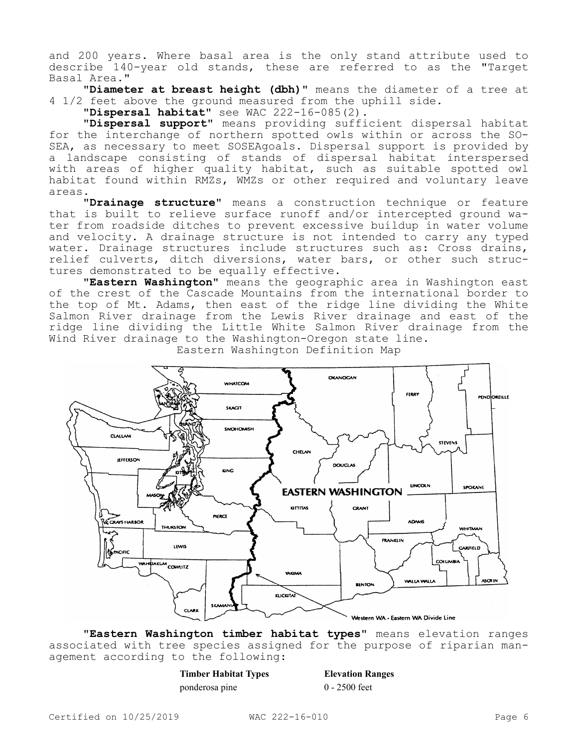and 200 years. Where basal area is the only stand attribute used to describe 140-year old stands, these are referred to as the "Target Basal Area."

**"Diameter at breast height (dbh)"** means the diameter of a tree at 4 1/2 feet above the ground measured from the uphill side.

**"Dispersal habitat"** see WAC 222-16-085(2).

**"Dispersal support"** means providing sufficient dispersal habitat for the interchange of northern spotted owls within or across the SO-SEA, as necessary to meet SOSEAgoals. Dispersal support is provided by a landscape consisting of stands of dispersal habitat interspersed with areas of higher quality habitat, such as suitable spotted owl habitat found within RMZs, WMZs or other required and voluntary leave areas.

**"Drainage structure"** means a construction technique or feature that is built to relieve surface runoff and/or intercepted ground water from roadside ditches to prevent excessive buildup in water volume and velocity. A drainage structure is not intended to carry any typed water. Drainage structures include structures such as: Cross drains, relief culverts, ditch diversions, water bars, or other such structures demonstrated to be equally effective.

**"Eastern Washington"** means the geographic area in Washington east of the crest of the Cascade Mountains from the international border to the top of Mt. Adams, then east of the ridge line dividing the White Salmon River drainage from the Lewis River drainage and east of the ridge line dividing the Little White Salmon River drainage from the Wind River drainage to the Washington-Oregon state line.



Eastern Washington Definition Map

**"Eastern Washington timber habitat types"** means elevation ranges associated with tree species assigned for the purpose of riparian management according to the following:

| <b>Timber Habitat Types</b> | <b>Elevation Ranges</b> |
|-----------------------------|-------------------------|
| ponderosa pine              | $0 - 2500$ feet         |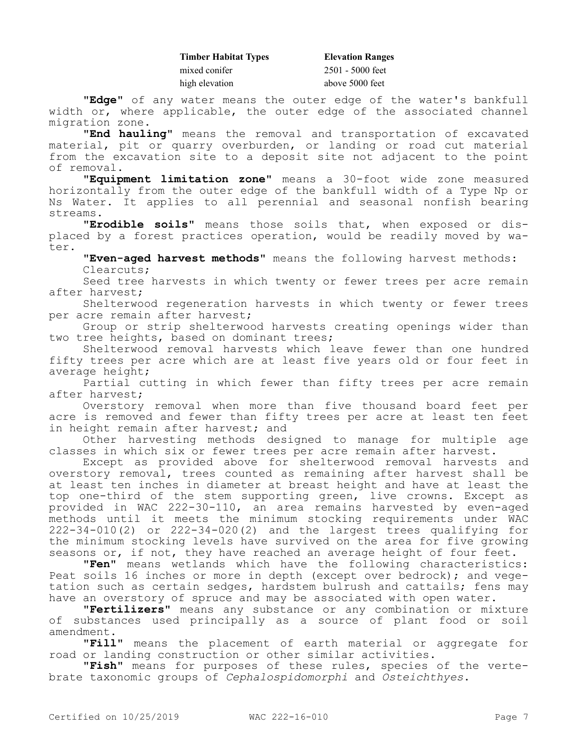| <b>Elevation Ranges</b> |
|-------------------------|
| $2501 - 5000$ feet      |
| above 5000 feet         |
|                         |

**"Edge"** of any water means the outer edge of the water's bankfull width or, where applicable, the outer edge of the associated channel migration zone.

**"End hauling"** means the removal and transportation of excavated material, pit or quarry overburden, or landing or road cut material from the excavation site to a deposit site not adjacent to the point of removal.

**"Equipment limitation zone"** means a 30-foot wide zone measured horizontally from the outer edge of the bankfull width of a Type Np or Ns Water. It applies to all perennial and seasonal nonfish bearing streams.

**"Erodible soils"** means those soils that, when exposed or displaced by a forest practices operation, would be readily moved by water.

**"Even-aged harvest methods"** means the following harvest methods: Clearcuts;

Seed tree harvests in which twenty or fewer trees per acre remain after harvest;

Shelterwood regeneration harvests in which twenty or fewer trees per acre remain after harvest;

Group or strip shelterwood harvests creating openings wider than two tree heights, based on dominant trees;

Shelterwood removal harvests which leave fewer than one hundred fifty trees per acre which are at least five years old or four feet in average height;

Partial cutting in which fewer than fifty trees per acre remain after harvest;

Overstory removal when more than five thousand board feet per acre is removed and fewer than fifty trees per acre at least ten feet in height remain after harvest; and

Other harvesting methods designed to manage for multiple age classes in which six or fewer trees per acre remain after harvest.

Except as provided above for shelterwood removal harvests and overstory removal, trees counted as remaining after harvest shall be at least ten inches in diameter at breast height and have at least the top one-third of the stem supporting green, live crowns. Except as provided in WAC 222-30-110, an area remains harvested by even-aged methods until it meets the minimum stocking requirements under WAC 222-34-010(2) or 222-34-020(2) and the largest trees qualifying for the minimum stocking levels have survived on the area for five growing seasons or, if not, they have reached an average height of four feet.

**"Fen"** means wetlands which have the following characteristics: Peat soils 16 inches or more in depth (except over bedrock); and vegetation such as certain sedges, hardstem bulrush and cattails; fens may have an overstory of spruce and may be associated with open water.

**"Fertilizers"** means any substance or any combination or mixture of substances used principally as a source of plant food or soil amendment.

**"Fill"** means the placement of earth material or aggregate for road or landing construction or other similar activities.

**"Fish"** means for purposes of these rules, species of the vertebrate taxonomic groups of *Cephalospidomorphi* and *Osteichthyes*.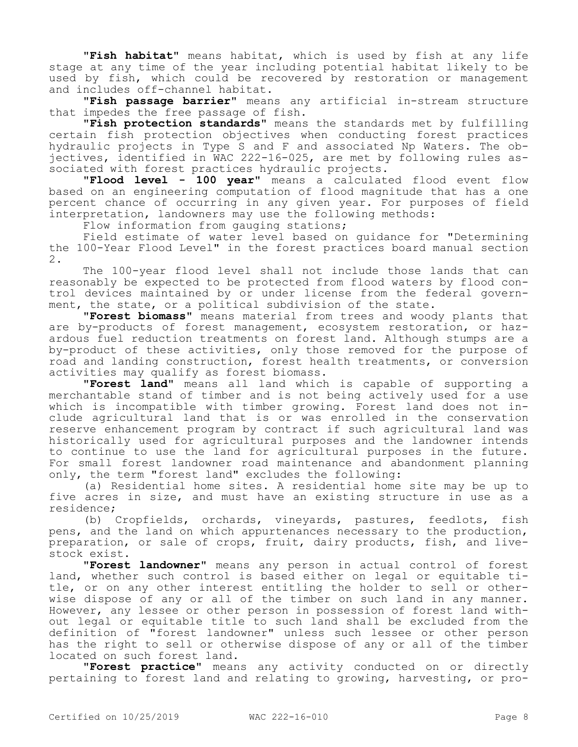**"Fish habitat"** means habitat, which is used by fish at any life stage at any time of the year including potential habitat likely to be used by fish, which could be recovered by restoration or management and includes off-channel habitat.

**"Fish passage barrier"** means any artificial in-stream structure that impedes the free passage of fish.

**"Fish protection standards"** means the standards met by fulfilling certain fish protection objectives when conducting forest practices hydraulic projects in Type S and F and associated Np Waters. The objectives, identified in WAC 222-16-025, are met by following rules associated with forest practices hydraulic projects.

**"Flood level - 100 year"** means a calculated flood event flow based on an engineering computation of flood magnitude that has a one percent chance of occurring in any given year. For purposes of field interpretation, landowners may use the following methods:

Flow information from gauging stations;

Field estimate of water level based on guidance for "Determining the 100-Year Flood Level" in the forest practices board manual section 2.

The 100-year flood level shall not include those lands that can reasonably be expected to be protected from flood waters by flood control devices maintained by or under license from the federal government, the state, or a political subdivision of the state.

**"Forest biomass"** means material from trees and woody plants that are by-products of forest management, ecosystem restoration, or hazardous fuel reduction treatments on forest land. Although stumps are a by-product of these activities, only those removed for the purpose of road and landing construction, forest health treatments, or conversion activities may qualify as forest biomass.

**"Forest land"** means all land which is capable of supporting a merchantable stand of timber and is not being actively used for a use which is incompatible with timber growing. Forest land does not include agricultural land that is or was enrolled in the conservation reserve enhancement program by contract if such agricultural land was historically used for agricultural purposes and the landowner intends to continue to use the land for agricultural purposes in the future. For small forest landowner road maintenance and abandonment planning only, the term "forest land" excludes the following:

(a) Residential home sites. A residential home site may be up to five acres in size, and must have an existing structure in use as a residence;

(b) Cropfields, orchards, vineyards, pastures, feedlots, fish pens, and the land on which appurtenances necessary to the production, preparation, or sale of crops, fruit, dairy products, fish, and livestock exist.

**"Forest landowner"** means any person in actual control of forest land, whether such control is based either on legal or equitable title, or on any other interest entitling the holder to sell or otherwise dispose of any or all of the timber on such land in any manner. However, any lessee or other person in possession of forest land without legal or equitable title to such land shall be excluded from the definition of "forest landowner" unless such lessee or other person has the right to sell or otherwise dispose of any or all of the timber located on such forest land.

**"Forest practice"** means any activity conducted on or directly pertaining to forest land and relating to growing, harvesting, or pro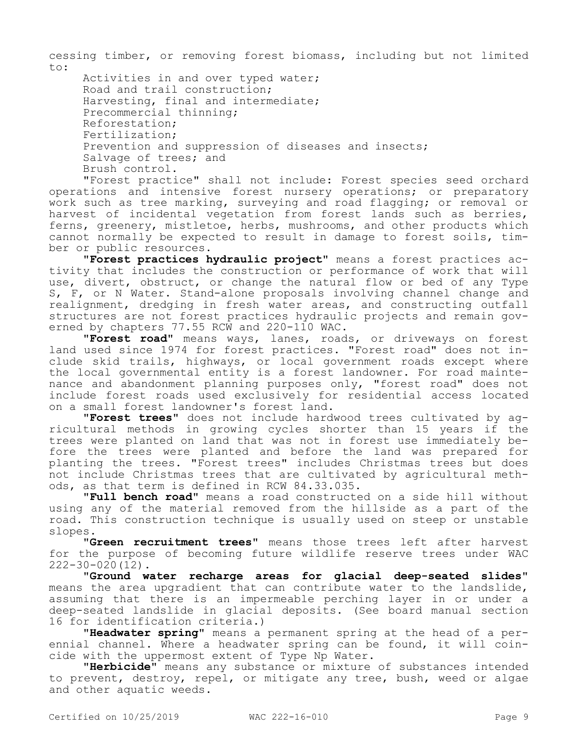cessing timber, or removing forest biomass, including but not limited to:

Activities in and over typed water; Road and trail construction; Harvesting, final and intermediate; Precommercial thinning; Reforestation; Fertilization; Prevention and suppression of diseases and insects; Salvage of trees; and Brush control.

"Forest practice" shall not include: Forest species seed orchard operations and intensive forest nursery operations; or preparatory work such as tree marking, surveying and road flagging; or removal or harvest of incidental vegetation from forest lands such as berries, ferns, greenery, mistletoe, herbs, mushrooms, and other products which cannot normally be expected to result in damage to forest soils, timber or public resources.

**"Forest practices hydraulic project"** means a forest practices activity that includes the construction or performance of work that will use, divert, obstruct, or change the natural flow or bed of any Type S, F, or N Water. Stand-alone proposals involving channel change and realignment, dredging in fresh water areas, and constructing outfall structures are not forest practices hydraulic projects and remain governed by chapters 77.55 RCW and 220-110 WAC.

**"Forest road"** means ways, lanes, roads, or driveways on forest land used since 1974 for forest practices. "Forest road" does not include skid trails, highways, or local government roads except where the local governmental entity is a forest landowner. For road maintenance and abandonment planning purposes only, "forest road" does not include forest roads used exclusively for residential access located on a small forest landowner's forest land.

**"Forest trees"** does not include hardwood trees cultivated by agricultural methods in growing cycles shorter than 15 years if the trees were planted on land that was not in forest use immediately before the trees were planted and before the land was prepared for planting the trees. "Forest trees" includes Christmas trees but does not include Christmas trees that are cultivated by agricultural methods, as that term is defined in RCW 84.33.035.

**"Full bench road"** means a road constructed on a side hill without using any of the material removed from the hillside as a part of the road. This construction technique is usually used on steep or unstable slopes.

**"Green recruitment trees"** means those trees left after harvest for the purpose of becoming future wildlife reserve trees under WAC 222-30-020(12).

**"Ground water recharge areas for glacial deep-seated slides"**  means the area upgradient that can contribute water to the landslide, assuming that there is an impermeable perching layer in or under a deep-seated landslide in glacial deposits. (See board manual section 16 for identification criteria.)

**"Headwater spring"** means a permanent spring at the head of a perennial channel. Where a headwater spring can be found, it will coincide with the uppermost extent of Type Np Water.

**"Herbicide"** means any substance or mixture of substances intended to prevent, destroy, repel, or mitigate any tree, bush, weed or algae and other aquatic weeds.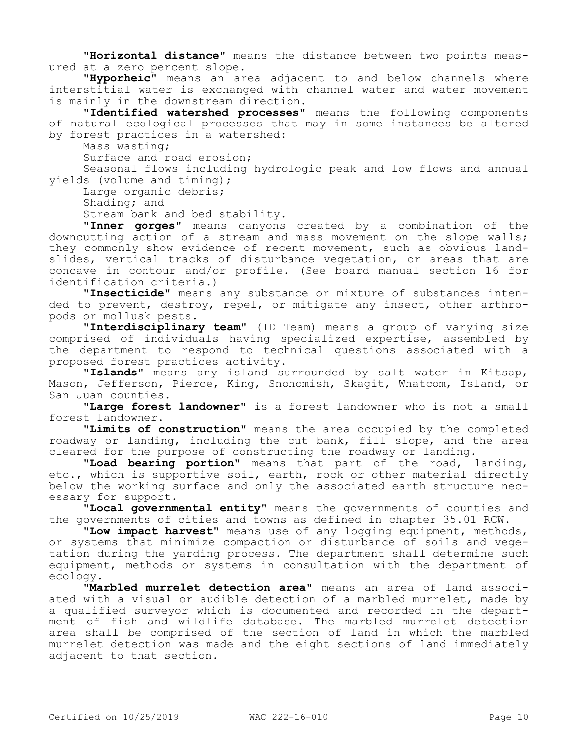**"Horizontal distance"** means the distance between two points measured at a zero percent slope.

**"Hyporheic"** means an area adjacent to and below channels where interstitial water is exchanged with channel water and water movement is mainly in the downstream direction.

**"Identified watershed processes"** means the following components of natural ecological processes that may in some instances be altered by forest practices in a watershed:

Mass wasting;

Surface and road erosion;

Seasonal flows including hydrologic peak and low flows and annual yields (volume and timing);

Large organic debris;

Shading; and

Stream bank and bed stability.

**"Inner gorges"** means canyons created by a combination of the downcutting action of a stream and mass movement on the slope walls; they commonly show evidence of recent movement, such as obvious landslides, vertical tracks of disturbance vegetation, or areas that are concave in contour and/or profile. (See board manual section 16 for identification criteria.)

**"Insecticide"** means any substance or mixture of substances intended to prevent, destroy, repel, or mitigate any insect, other arthropods or mollusk pests.

**"Interdisciplinary team"** (ID Team) means a group of varying size comprised of individuals having specialized expertise, assembled by the department to respond to technical questions associated with a proposed forest practices activity.

**"Islands"** means any island surrounded by salt water in Kitsap, Mason, Jefferson, Pierce, King, Snohomish, Skagit, Whatcom, Island, or San Juan counties.

**"Large forest landowner"** is a forest landowner who is not a small forest landowner.

**"Limits of construction"** means the area occupied by the completed roadway or landing, including the cut bank, fill slope, and the area cleared for the purpose of constructing the roadway or landing.

**"Load bearing portion"** means that part of the road, landing, etc., which is supportive soil, earth, rock or other material directly below the working surface and only the associated earth structure necessary for support.

**"Local governmental entity"** means the governments of counties and the governments of cities and towns as defined in chapter 35.01 RCW.

**"Low impact harvest"** means use of any logging equipment, methods, or systems that minimize compaction or disturbance of soils and vegetation during the yarding process. The department shall determine such equipment, methods or systems in consultation with the department of ecology.

**"Marbled murrelet detection area"** means an area of land associated with a visual or audible detection of a marbled murrelet, made by a qualified surveyor which is documented and recorded in the department of fish and wildlife database. The marbled murrelet detection area shall be comprised of the section of land in which the marbled murrelet detection was made and the eight sections of land immediately adjacent to that section.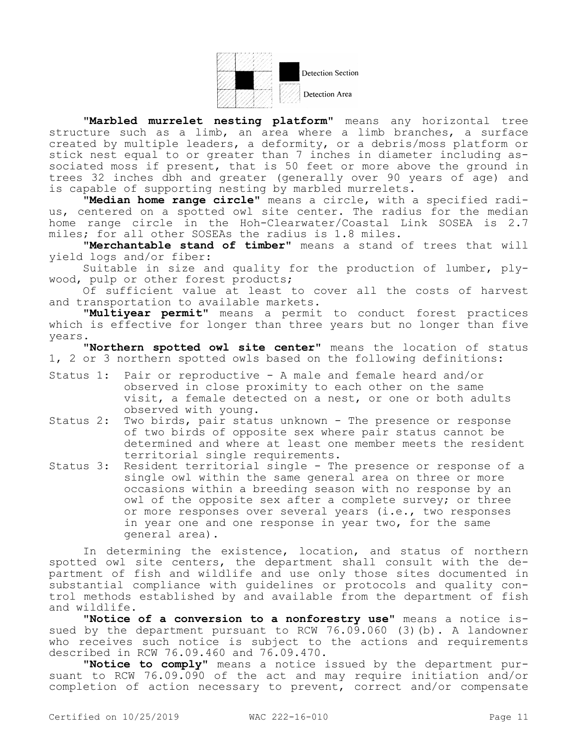

**Detection Section** 

Detection Area

**"Marbled murrelet nesting platform"** means any horizontal tree structure such as a limb, an area where a limb branches, a surface created by multiple leaders, a deformity, or a debris/moss platform or stick nest equal to or greater than 7 inches in diameter including associated moss if present, that is 50 feet or more above the ground in trees 32 inches dbh and greater (generally over 90 years of age) and is capable of supporting nesting by marbled murrelets.

**"Median home range circle"** means a circle, with a specified radius, centered on a spotted owl site center. The radius for the median home range circle in the Hoh-Clearwater/Coastal Link SOSEA is 2.7 miles; for all other SOSEAs the radius is 1.8 miles.

**"Merchantable stand of timber"** means a stand of trees that will yield logs and/or fiber:

Suitable in size and quality for the production of lumber, plywood, pulp or other forest products;

Of sufficient value at least to cover all the costs of harvest and transportation to available markets.

**"Multiyear permit"** means a permit to conduct forest practices which is effective for longer than three years but no longer than five years.

**"Northern spotted owl site center"** means the location of status 1, 2 or 3 northern spotted owls based on the following definitions:

- Status 1: Pair or reproductive A male and female heard and/or observed in close proximity to each other on the same visit, a female detected on a nest, or one or both adults observed with young.
- Status 2: Two birds, pair status unknown The presence or response of two birds of opposite sex where pair status cannot be determined and where at least one member meets the resident territorial single requirements.
- Status 3: Resident territorial single The presence or response of a single owl within the same general area on three or more occasions within a breeding season with no response by an owl of the opposite sex after a complete survey; or three or more responses over several years (i.e., two responses in year one and one response in year two, for the same general area).

In determining the existence, location, and status of northern spotted owl site centers, the department shall consult with the department of fish and wildlife and use only those sites documented in substantial compliance with guidelines or protocols and quality control methods established by and available from the department of fish and wildlife.

**"Notice of a conversion to a nonforestry use"** means a notice issued by the department pursuant to RCW 76.09.060 (3)(b). A landowner who receives such notice is subject to the actions and requirements described in RCW 76.09.460 and 76.09.470.

**"Notice to comply"** means a notice issued by the department pursuant to RCW 76.09.090 of the act and may require initiation and/or completion of action necessary to prevent, correct and/or compensate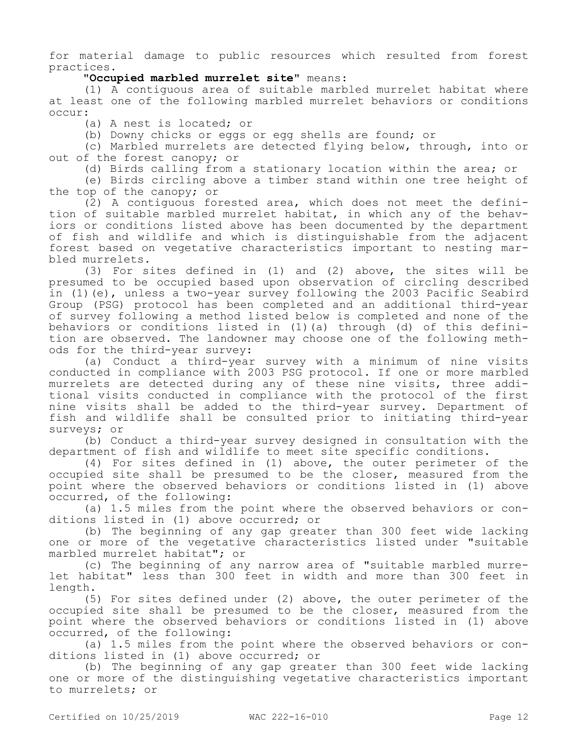for material damage to public resources which resulted from forest practices.

**"Occupied marbled murrelet site"** means:

(1) A contiguous area of suitable marbled murrelet habitat where at least one of the following marbled murrelet behaviors or conditions  $OCDIP$ 

(a) A nest is located; or

(b) Downy chicks or eggs or egg shells are found; or

(c) Marbled murrelets are detected flying below, through, into or out of the forest canopy; or

(d) Birds calling from a stationary location within the area; or

(e) Birds circling above a timber stand within one tree height of the top of the canopy; or

(2) A contiguous forested area, which does not meet the definition of suitable marbled murrelet habitat, in which any of the behaviors or conditions listed above has been documented by the department of fish and wildlife and which is distinguishable from the adjacent forest based on vegetative characteristics important to nesting marbled murrelets.

(3) For sites defined in (1) and (2) above, the sites will be presumed to be occupied based upon observation of circling described in (1)(e), unless a two-year survey following the 2003 Pacific Seabird Group (PSG) protocol has been completed and an additional third-year of survey following a method listed below is completed and none of the behaviors or conditions listed in (1)(a) through (d) of this definition are observed. The landowner may choose one of the following methods for the third-year survey:

(a) Conduct a third-year survey with a minimum of nine visits conducted in compliance with 2003 PSG protocol. If one or more marbled murrelets are detected during any of these nine visits, three additional visits conducted in compliance with the protocol of the first nine visits shall be added to the third-year survey. Department of fish and wildlife shall be consulted prior to initiating third-year surveys; or

(b) Conduct a third-year survey designed in consultation with the department of fish and wildlife to meet site specific conditions.

(4) For sites defined in (1) above, the outer perimeter of the occupied site shall be presumed to be the closer, measured from the point where the observed behaviors or conditions listed in (1) above occurred, of the following:

(a) 1.5 miles from the point where the observed behaviors or conditions listed in (1) above occurred; or

(b) The beginning of any gap greater than 300 feet wide lacking one or more of the vegetative characteristics listed under "suitable marbled murrelet habitat"; or

(c) The beginning of any narrow area of "suitable marbled murrelet habitat" less than 300 feet in width and more than 300 feet in length.

(5) For sites defined under (2) above, the outer perimeter of the occupied site shall be presumed to be the closer, measured from the point where the observed behaviors or conditions listed in (1) above occurred, of the following:

(a) 1.5 miles from the point where the observed behaviors or conditions listed in (1) above occurred; or

(b) The beginning of any gap greater than 300 feet wide lacking one or more of the distinguishing vegetative characteristics important to murrelets; or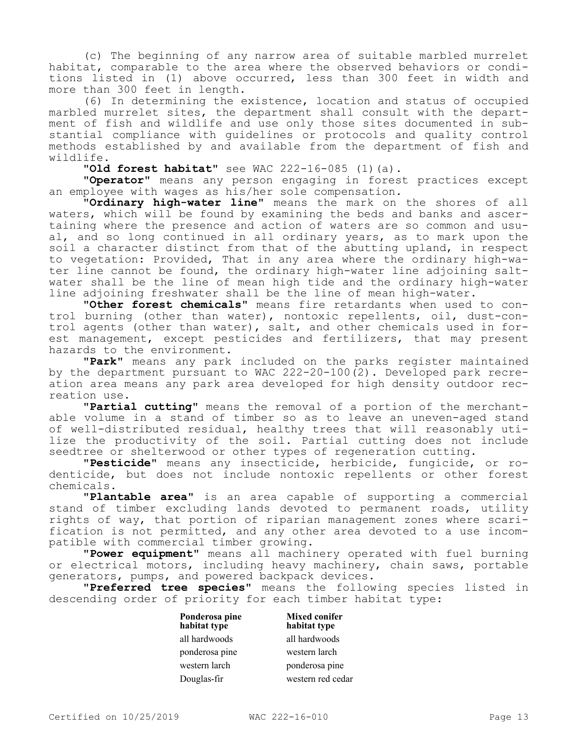(c) The beginning of any narrow area of suitable marbled murrelet habitat, comparable to the area where the observed behaviors or conditions listed in (1) above occurred, less than 300 feet in width and more than 300 feet in length.

(6) In determining the existence, location and status of occupied marbled murrelet sites, the department shall consult with the department of fish and wildlife and use only those sites documented in substantial compliance with guidelines or protocols and quality control methods established by and available from the department of fish and wildlife.

**"Old forest habitat"** see WAC 222-16-085 (1)(a).

**"Operator"** means any person engaging in forest practices except an employee with wages as his/her sole compensation.

**"Ordinary high-water line"** means the mark on the shores of all waters, which will be found by examining the beds and banks and ascertaining where the presence and action of waters are so common and usual, and so long continued in all ordinary years, as to mark upon the soil a character distinct from that of the abutting upland, in respect to vegetation: Provided, That in any area where the ordinary high-water line cannot be found, the ordinary high-water line adjoining saltwater shall be the line of mean high tide and the ordinary high-water line adjoining freshwater shall be the line of mean high-water.

**"Other forest chemicals"** means fire retardants when used to control burning (other than water), nontoxic repellents, oil, dust-control agents (other than water), salt, and other chemicals used in forest management, except pesticides and fertilizers, that may present hazards to the environment.

**"Park"** means any park included on the parks register maintained by the department pursuant to WAC 222-20-100(2). Developed park recreation area means any park area developed for high density outdoor recreation use.

**"Partial cutting"** means the removal of a portion of the merchantable volume in a stand of timber so as to leave an uneven-aged stand of well-distributed residual, healthy trees that will reasonably utilize the productivity of the soil. Partial cutting does not include seedtree or shelterwood or other types of regeneration cutting.

**"Pesticide"** means any insecticide, herbicide, fungicide, or rodenticide, but does not include nontoxic repellents or other forest chemicals.

**"Plantable area"** is an area capable of supporting a commercial stand of timber excluding lands devoted to permanent roads, utility rights of way, that portion of riparian management zones where scarification is not permitted, and any other area devoted to a use incompatible with commercial timber growing.

**"Power equipment"** means all machinery operated with fuel burning or electrical motors, including heavy machinery, chain saws, portable generators, pumps, and powered backpack devices.

**"Preferred tree species"** means the following species listed in descending order of priority for each timber habitat type:

| Ponderosa pine<br>habitat type | <b>Mixed conifer</b><br>habitat type |
|--------------------------------|--------------------------------------|
| all hardwoods                  | all hardwoods                        |
| ponderosa pine                 | western larch                        |
| western larch                  | ponderosa pine                       |
| Douglas-fir                    | western red cedar                    |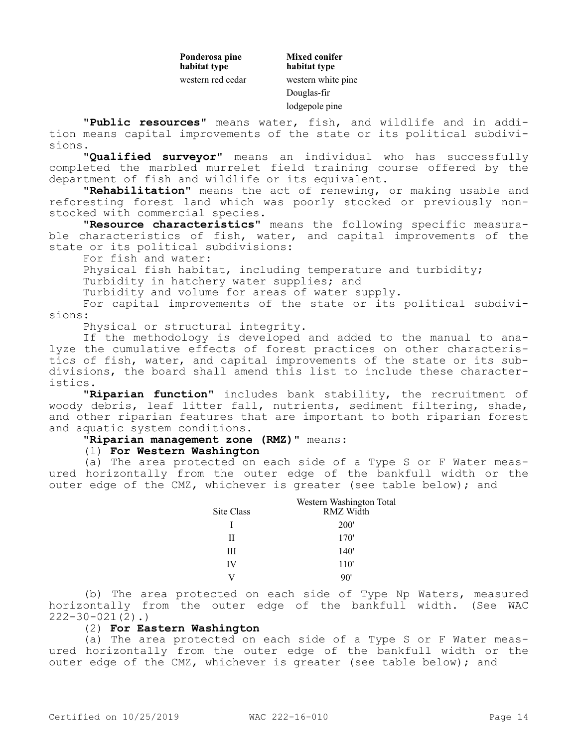**Ponderosa pine habitat type** western red cedar western white pine

**Mixed conifer habitat type** Douglas-fir lodgepole pine

**"Public resources"** means water, fish, and wildlife and in addition means capital improvements of the state or its political subdivisions.

**"Qualified surveyor"** means an individual who has successfully completed the marbled murrelet field training course offered by the department of fish and wildlife or its equivalent.

**"Rehabilitation"** means the act of renewing, or making usable and reforesting forest land which was poorly stocked or previously nonstocked with commercial species.

**"Resource characteristics"** means the following specific measurable characteristics of fish, water, and capital improvements of the state or its political subdivisions:

For fish and water:

Physical fish habitat, including temperature and turbidity;

Turbidity in hatchery water supplies; and

Turbidity and volume for areas of water supply.

For capital improvements of the state or its political subdivisions:

Physical or structural integrity.

If the methodology is developed and added to the manual to analyze the cumulative effects of forest practices on other characteristics of fish, water, and capital improvements of the state or its subdivisions, the board shall amend this list to include these characteristics.

**"Riparian function"** includes bank stability, the recruitment of woody debris, leaf litter fall, nutrients, sediment filtering, shade, and other riparian features that are important to both riparian forest and aquatic system conditions.

## **"Riparian management zone (RMZ)"** means:

## (1) **For Western Washington**

(a) The area protected on each side of a Type S or F Water measured horizontally from the outer edge of the bankfull width or the outer edge of the CMZ, whichever is greater (see table below); and

| Site Class | Western Washington Total<br><b>RMZ Width</b> |
|------------|----------------------------------------------|
| L          | 200 <sup>'</sup>                             |
| Н          | 170'                                         |
| Ш          | 140'                                         |
| IV         | 110'                                         |
|            |                                              |

(b) The area protected on each side of Type Np Waters, measured horizontally from the outer edge of the bankfull width. (See WAC  $222 - 30 - 021(2)$ .

# (2) **For Eastern Washington**

(a) The area protected on each side of a Type S or F Water measured horizontally from the outer edge of the bankfull width or the outer edge of the CMZ, whichever is greater (see table below); and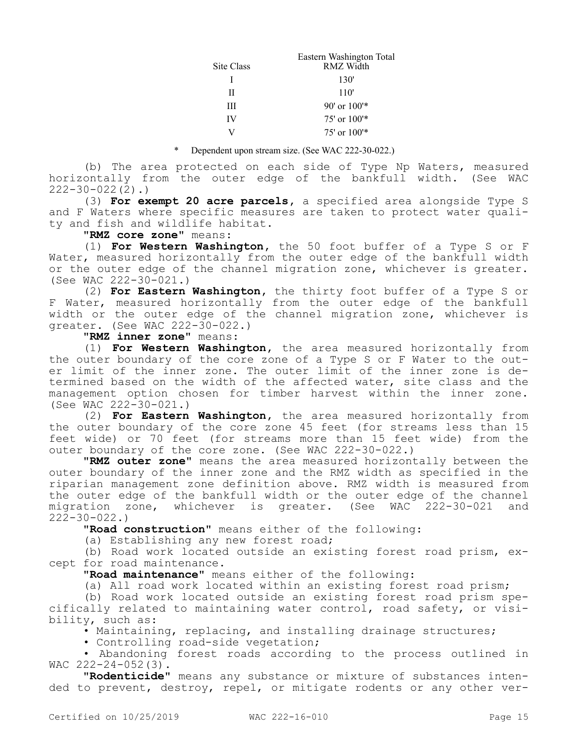|            | Eastern Washington Total |
|------------|--------------------------|
| Site Class | RMZ Width                |
|            | 130'                     |
| Н          | 110'                     |
| Ш          | $90'$ or $100'$ *        |
| IV         | $75'$ or $100'*$         |
|            | $75'$ or $100'*$         |

#### Dependent upon stream size. (See WAC 222-30-022.)

(b) The area protected on each side of Type Np Waters, measured horizontally from the outer edge of the bankfull width. (See WAC  $222 - 30 - 022(2)$ .

(3) **For exempt 20 acre parcels,** a specified area alongside Type S and F Waters where specific measures are taken to protect water quality and fish and wildlife habitat.

### **"RMZ core zone"** means:

(1) **For Western Washington,** the 50 foot buffer of a Type S or F Water, measured horizontally from the outer edge of the bankfull width or the outer edge of the channel migration zone, whichever is greater. (See WAC 222-30-021.)

(2) **For Eastern Washington,** the thirty foot buffer of a Type S or F Water, measured horizontally from the outer edge of the bankfull width or the outer edge of the channel migration zone, whichever is greater. (See WAC 222-30-022.)

## **"RMZ inner zone"** means:

(1) **For Western Washington,** the area measured horizontally from the outer boundary of the core zone of a Type S or F Water to the outer limit of the inner zone. The outer limit of the inner zone is determined based on the width of the affected water, site class and the management option chosen for timber harvest within the inner zone. (See WAC 222-30-021.)

(2) **For Eastern Washington,** the area measured horizontally from the outer boundary of the core zone 45 feet (for streams less than 15 feet wide) or 70 feet (for streams more than 15 feet wide) from the outer boundary of the core zone. (See WAC 222-30-022.)

**"RMZ outer zone"** means the area measured horizontally between the outer boundary of the inner zone and the RMZ width as specified in the riparian management zone definition above. RMZ width is measured from the outer edge of the bankfull width or the outer edge of the channel migration zone, whichever is greater. (See WAC 222-30-021 and 222-30-022.)

**"Road construction"** means either of the following:

(a) Establishing any new forest road;

(b) Road work located outside an existing forest road prism, except for road maintenance.

**"Road maintenance"** means either of the following:

(a) All road work located within an existing forest road prism;

(b) Road work located outside an existing forest road prism specifically related to maintaining water control, road safety, or visibility, such as:

• Maintaining, replacing, and installing drainage structures;

• Controlling road-side vegetation;

• Abandoning forest roads according to the process outlined in WAC  $222 - 24 - 052(3)$ .

**"Rodenticide"** means any substance or mixture of substances intended to prevent, destroy, repel, or mitigate rodents or any other ver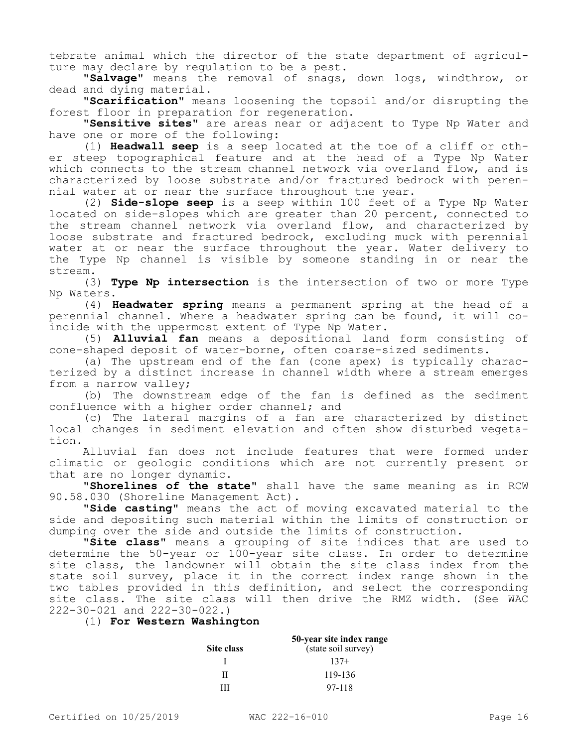tebrate animal which the director of the state department of agriculture may declare by regulation to be a pest.

**"Salvage"** means the removal of snags, down logs, windthrow, or dead and dying material.

**"Scarification"** means loosening the topsoil and/or disrupting the forest floor in preparation for regeneration.

**"Sensitive sites"** are areas near or adjacent to Type Np Water and have one or more of the following:

(1) **Headwall seep** is a seep located at the toe of a cliff or other steep topographical feature and at the head of a Type Np Water which connects to the stream channel network via overland flow, and is characterized by loose substrate and/or fractured bedrock with perennial water at or near the surface throughout the year.

(2) **Side-slope seep** is a seep within 100 feet of a Type Np Water located on side-slopes which are greater than 20 percent, connected to the stream channel network via overland flow, and characterized by loose substrate and fractured bedrock, excluding muck with perennial water at or near the surface throughout the year. Water delivery to the Type Np channel is visible by someone standing in or near the stream.

(3) **Type Np intersection** is the intersection of two or more Type Np Waters.

(4) **Headwater spring** means a permanent spring at the head of a perennial channel. Where a headwater spring can be found, it will coincide with the uppermost extent of Type Np Water.

(5) **Alluvial fan** means a depositional land form consisting of cone-shaped deposit of water-borne, often coarse-sized sediments.

(a) The upstream end of the fan (cone apex) is typically characterized by a distinct increase in channel width where a stream emerges from a narrow valley;

(b) The downstream edge of the fan is defined as the sediment confluence with a higher order channel; and

(c) The lateral margins of a fan are characterized by distinct local changes in sediment elevation and often show disturbed vegetation.

Alluvial fan does not include features that were formed under climatic or geologic conditions which are not currently present or that are no longer dynamic.

**"Shorelines of the state"** shall have the same meaning as in RCW 90.58.030 (Shoreline Management Act).

**"Side casting"** means the act of moving excavated material to the side and depositing such material within the limits of construction or dumping over the side and outside the limits of construction.

**"Site class"** means a grouping of site indices that are used to determine the 50-year or 100-year site class. In order to determine site class, the landowner will obtain the site class index from the state soil survey, place it in the correct index range shown in the two tables provided in this definition, and select the corresponding site class. The site class will then drive the RMZ width. (See WAC 222-30-021 and 222-30-022.)

## (1) **For Western Washington**

|                   | 50-year site index range |  |
|-------------------|--------------------------|--|
| <b>Site class</b> | (state soil survey)      |  |
|                   | $137+$                   |  |
| Н                 | 119-136                  |  |
| ш                 | 97-118                   |  |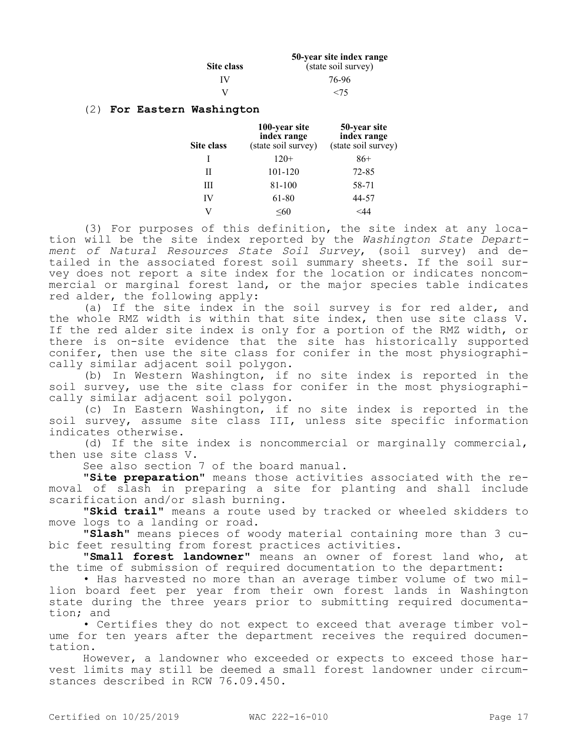|            | 50-year site index range |
|------------|--------------------------|
| Site class | (state soil survey)      |
| IV         | 76-96                    |
| V          | <75                      |

### (2) **For Eastern Washington**

| Site class | 100-year site<br>index range<br>(state soil survey) | 50-year site<br>index range<br>(state soil survey) |
|------------|-----------------------------------------------------|----------------------------------------------------|
|            | $120+$                                              | $86+$                                              |
| Н          | 101-120                                             | $72 - 85$                                          |
| Ш          | 81-100                                              | 58-71                                              |
| IV         | 61-80                                               | 44-57                                              |
|            | <60                                                 |                                                    |

(3) For purposes of this definition, the site index at any location will be the site index reported by the *Washington State Department of Natural Resources State Soil Survey*, (soil survey) and detailed in the associated forest soil summary sheets. If the soil survey does not report a site index for the location or indicates noncommercial or marginal forest land, or the major species table indicates red alder, the following apply:

(a) If the site index in the soil survey is for red alder, and the whole RMZ width is within that site index, then use site class V. If the red alder site index is only for a portion of the RMZ width, or there is on-site evidence that the site has historically supported conifer, then use the site class for conifer in the most physiographically similar adjacent soil polygon.

(b) In Western Washington, if no site index is reported in the soil survey, use the site class for conifer in the most physiographically similar adjacent soil polygon.

(c) In Eastern Washington, if no site index is reported in the soil survey, assume site class III, unless site specific information indicates otherwise.

(d) If the site index is noncommercial or marginally commercial, then use site class V.

See also section 7 of the board manual.

**"Site preparation"** means those activities associated with the removal of slash in preparing a site for planting and shall include scarification and/or slash burning.

**"Skid trail"** means a route used by tracked or wheeled skidders to move logs to a landing or road.

**"Slash"** means pieces of woody material containing more than 3 cubic feet resulting from forest practices activities.

**"Small forest landowner"** means an owner of forest land who, at the time of submission of required documentation to the department:

• Has harvested no more than an average timber volume of two million board feet per year from their own forest lands in Washington state during the three years prior to submitting required documentation; and

• Certifies they do not expect to exceed that average timber volume for ten years after the department receives the required documentation.

However, a landowner who exceeded or expects to exceed those harvest limits may still be deemed a small forest landowner under circumstances described in RCW 76.09.450.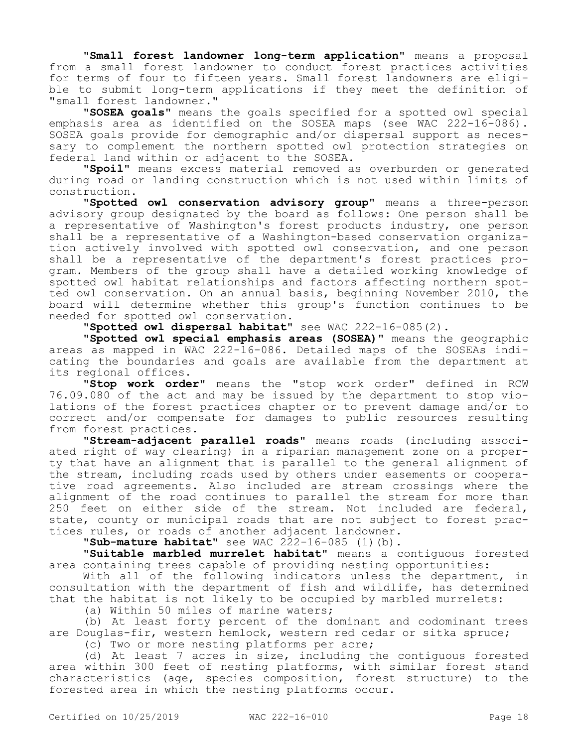**"Small forest landowner long-term application"** means a proposal from a small forest landowner to conduct forest practices activities for terms of four to fifteen years. Small forest landowners are eligible to submit long-term applications if they meet the definition of "small forest landowner."

**"SOSEA goals"** means the goals specified for a spotted owl special emphasis area as identified on the SOSEA maps (see WAC 222-16-086). SOSEA goals provide for demographic and/or dispersal support as necessary to complement the northern spotted owl protection strategies on federal land within or adjacent to the SOSEA.

**"Spoil"** means excess material removed as overburden or generated during road or landing construction which is not used within limits of construction.

**"Spotted owl conservation advisory group"** means a three-person advisory group designated by the board as follows: One person shall be a representative of Washington's forest products industry, one person shall be a representative of a Washington-based conservation organization actively involved with spotted owl conservation, and one person shall be a representative of the department's forest practices program. Members of the group shall have a detailed working knowledge of spotted owl habitat relationships and factors affecting northern spotted owl conservation. On an annual basis, beginning November 2010, the board will determine whether this group's function continues to be needed for spotted owl conservation.

**"Spotted owl dispersal habitat"** see WAC 222-16-085(2).

**"Spotted owl special emphasis areas (SOSEA)"** means the geographic areas as mapped in WAC 222-16-086. Detailed maps of the SOSEAs indicating the boundaries and goals are available from the department at its regional offices.

**"Stop work order"** means the "stop work order" defined in RCW 76.09.080 of the act and may be issued by the department to stop violations of the forest practices chapter or to prevent damage and/or to correct and/or compensate for damages to public resources resulting from forest practices.

**"Stream-adjacent parallel roads"** means roads (including associated right of way clearing) in a riparian management zone on a property that have an alignment that is parallel to the general alignment of the stream, including roads used by others under easements or cooperative road agreements. Also included are stream crossings where the alignment of the road continues to parallel the stream for more than 250 feet on either side of the stream. Not included are federal, state, county or municipal roads that are not subject to forest practices rules, or roads of another adjacent landowner.

**"Sub-mature habitat"** see WAC 222-16-085 (1)(b).

**"Suitable marbled murrelet habitat"** means a contiguous forested area containing trees capable of providing nesting opportunities:

With all of the following indicators unless the department, in consultation with the department of fish and wildlife, has determined that the habitat is not likely to be occupied by marbled murrelets:

(a) Within 50 miles of marine waters;

(b) At least forty percent of the dominant and codominant trees are Douglas-fir, western hemlock, western red cedar or sitka spruce;

(c) Two or more nesting platforms per acre;

(d) At least 7 acres in size, including the contiguous forested area within 300 feet of nesting platforms, with similar forest stand characteristics (age, species composition, forest structure) to the forested area in which the nesting platforms occur.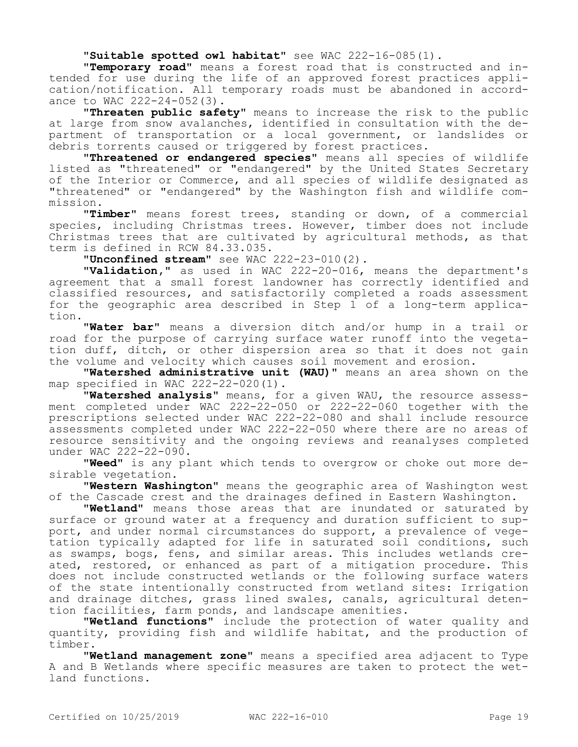**"Suitable spotted owl habitat"** see WAC 222-16-085(1).

**"Temporary road"** means a forest road that is constructed and intended for use during the life of an approved forest practices application/notification. All temporary roads must be abandoned in accordance to WAC 222-24-052(3).

**"Threaten public safety"** means to increase the risk to the public at large from snow avalanches, identified in consultation with the department of transportation or a local government, or landslides or debris torrents caused or triggered by forest practices.

**"Threatened or endangered species"** means all species of wildlife listed as "threatened" or "endangered" by the United States Secretary of the Interior or Commerce, and all species of wildlife designated as "threatened" or "endangered" by the Washington fish and wildlife commission.

**"Timber"** means forest trees, standing or down, of a commercial species, including Christmas trees. However, timber does not include Christmas trees that are cultivated by agricultural methods, as that term is defined in RCW 84.33.035.

**"Unconfined stream"** see WAC 222-23-010(2).

**"Validation,"** as used in WAC 222-20-016, means the department's agreement that a small forest landowner has correctly identified and classified resources, and satisfactorily completed a roads assessment for the geographic area described in Step 1 of a long-term application.

**"Water bar"** means a diversion ditch and/or hump in a trail or road for the purpose of carrying surface water runoff into the vegetation duff, ditch, or other dispersion area so that it does not gain the volume and velocity which causes soil movement and erosion.

**"Watershed administrative unit (WAU)"** means an area shown on the map specified in WAC 222-22-020(1).

**"Watershed analysis"** means, for a given WAU, the resource assessment completed under WAC 222-22-050 or 222-22-060 together with the prescriptions selected under WAC 222-22-080 and shall include resource assessments completed under WAC 222-22-050 where there are no areas of resource sensitivity and the ongoing reviews and reanalyses completed under WAC 222-22-090.

**"Weed"** is any plant which tends to overgrow or choke out more desirable vegetation.

**"Western Washington"** means the geographic area of Washington west of the Cascade crest and the drainages defined in Eastern Washington.

**"Wetland"** means those areas that are inundated or saturated by surface or ground water at a frequency and duration sufficient to support, and under normal circumstances do support, a prevalence of vegetation typically adapted for life in saturated soil conditions, such as swamps, bogs, fens, and similar areas. This includes wetlands created, restored, or enhanced as part of a mitigation procedure. This does not include constructed wetlands or the following surface waters of the state intentionally constructed from wetland sites: Irrigation and drainage ditches, grass lined swales, canals, agricultural detention facilities, farm ponds, and landscape amenities.

**"Wetland functions"** include the protection of water quality and quantity, providing fish and wildlife habitat, and the production of timber.

**"Wetland management zone"** means a specified area adjacent to Type A and B Wetlands where specific measures are taken to protect the wetland functions.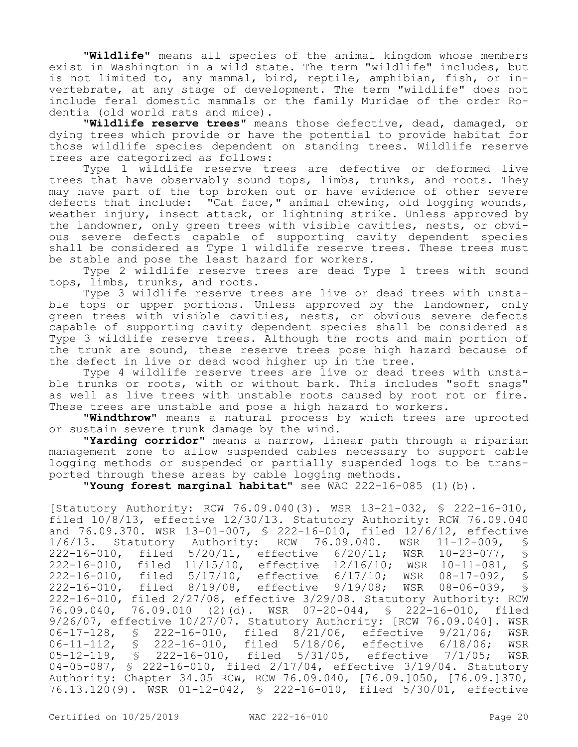**"Wildlife"** means all species of the animal kingdom whose members exist in Washington in a wild state. The term "wildlife" includes, but is not limited to, any mammal, bird, reptile, amphibian, fish, or invertebrate, at any stage of development. The term "wildlife" does not include feral domestic mammals or the family Muridae of the order Rodentia (old world rats and mice).

**"Wildlife reserve trees"** means those defective, dead, damaged, or dying trees which provide or have the potential to provide habitat for those wildlife species dependent on standing trees. Wildlife reserve trees are categorized as follows:

Type 1 wildlife reserve trees are defective or deformed live trees that have observably sound tops, limbs, trunks, and roots. They may have part of the top broken out or have evidence of other severe defects that include: "Cat face," animal chewing, old logging wounds, weather injury, insect attack, or lightning strike. Unless approved by the landowner, only green trees with visible cavities, nests, or obvious severe defects capable of supporting cavity dependent species shall be considered as Type 1 wildlife reserve trees. These trees must be stable and pose the least hazard for workers.

Type 2 wildlife reserve trees are dead Type 1 trees with sound tops, limbs, trunks, and roots.

Type 3 wildlife reserve trees are live or dead trees with unstable tops or upper portions. Unless approved by the landowner, only green trees with visible cavities, nests, or obvious severe defects capable of supporting cavity dependent species shall be considered as Type 3 wildlife reserve trees. Although the roots and main portion of the trunk are sound, these reserve trees pose high hazard because of the defect in live or dead wood higher up in the tree.

Type 4 wildlife reserve trees are live or dead trees with unstable trunks or roots, with or without bark. This includes "soft snags" as well as live trees with unstable roots caused by root rot or fire. These trees are unstable and pose a high hazard to workers.

**"Windthrow"** means a natural process by which trees are uprooted or sustain severe trunk damage by the wind.

**"Yarding corridor"** means a narrow, linear path through a riparian management zone to allow suspended cables necessary to support cable logging methods or suspended or partially suspended logs to be transported through these areas by cable logging methods.

**"Young forest marginal habitat"** see WAC 222-16-085 (1)(b).

[Statutory Authority: RCW 76.09.040(3). WSR 13-21-032, § 222-16-010, filed 10/8/13, effective 12/30/13. Statutory Authority: RCW 76.09.040 and 76.09.370. WSR 13-01-007, § 222-16-010, filed 12/6/12, effective<br>1/6/13. Statutory Authority: RCW 76.09.040. WSR 11-12-009, § 1/6/13. Statutory Authority: RCW 76.09.040. WSR 11-12-009, § 222-16-010, filed 5/20/11, effective 6/20/11; WSR 10-23-077, § 222-16-010, filed 11/15/10, effective 12/16/10; WSR 10-11-081, § 222-16-010, filed 5/17/10, effective 6/17/10; WSR 08-17-092, \$<br>222-16-010, filed 8/19/08, effective 9/19/08; WSR 08-06-039, \$ 222-16-010, filed 8/19/08, effective 9/19/08; WSR 08-06-039, § 222-16-010, filed 2/27/08, effective 3/29/08. Statutory Authority: RCW 76.09.040, 76.09.010 (2)(d). WSR 07-20-044, § 222-16-010, filed 9/26/07, effective 10/27/07. Statutory Authority: [RCW 76.09.040]. WSR<br>06-17-128, § 222-16-010, filed 8/21/06, effective 9/21/06; WSR 222-16-010, filed 8/21/06, effective 9/21/06; WSR<br>222-16-010, filed 5/18/06, effective 6/18/06; WSR 06-11-112, § 222-16-010, filed 5/18/06, effective 6/18/06; WSR<br>05-12-119, § 222-16-010, filed 5/31/05, effective 7/1/05; WSR 05-12-119, § 222-16-010, filed 5/31/05, effective 7/1/05; WSR 04-05-087, § 222-16-010, filed 2/17/04, effective 3/19/04. Statutory Authority: Chapter 34.05 RCW, RCW 76.09.040, [76.09.]050, [76.09.]370, 76.13.120(9). WSR 01-12-042, § 222-16-010, filed 5/30/01, effective